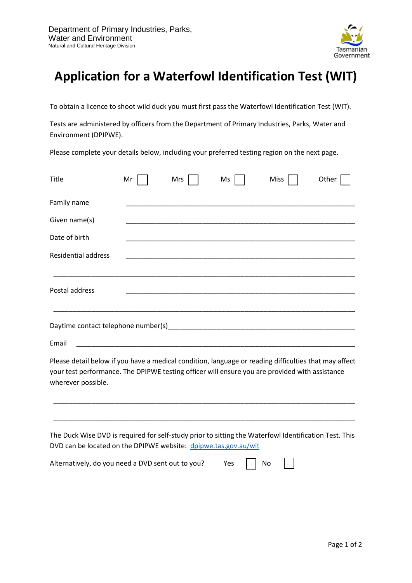

## **Application for a Waterfowl Identification Test (WIT)**

To obtain a licence to shoot wild duck you must first pass the Waterfowl Identification Test (WIT).

Tests are administered by officers from the Department of Primary Industries, Parks, Water and Environment (DPIPWE).

Please complete your details below, including your preferred testing region on the next page.

| Title                                                                                                                                                                                                                         | Mr | Mrs | Ms  | Miss | Other |
|-------------------------------------------------------------------------------------------------------------------------------------------------------------------------------------------------------------------------------|----|-----|-----|------|-------|
| Family name                                                                                                                                                                                                                   |    |     |     |      |       |
| Given name(s)                                                                                                                                                                                                                 |    |     |     |      |       |
| Date of birth                                                                                                                                                                                                                 |    |     |     |      |       |
| <b>Residential address</b>                                                                                                                                                                                                    |    |     |     |      |       |
| Postal address                                                                                                                                                                                                                |    |     |     |      |       |
|                                                                                                                                                                                                                               |    |     |     |      |       |
| Email                                                                                                                                                                                                                         |    |     |     |      |       |
| Please detail below if you have a medical condition, language or reading difficulties that may affect<br>your test performance. The DPIPWE testing officer will ensure you are provided with assistance<br>wherever possible. |    |     |     |      |       |
| The Duck Wise DVD is required for self-study prior to sitting the Waterfowl Identification Test. This<br>DVD can be located on the DPIPWE website: dpipwe.tas.gov.au/wit                                                      |    |     |     |      |       |
| Alternatively, do you need a DVD sent out to you?                                                                                                                                                                             |    |     | Yes | No   |       |